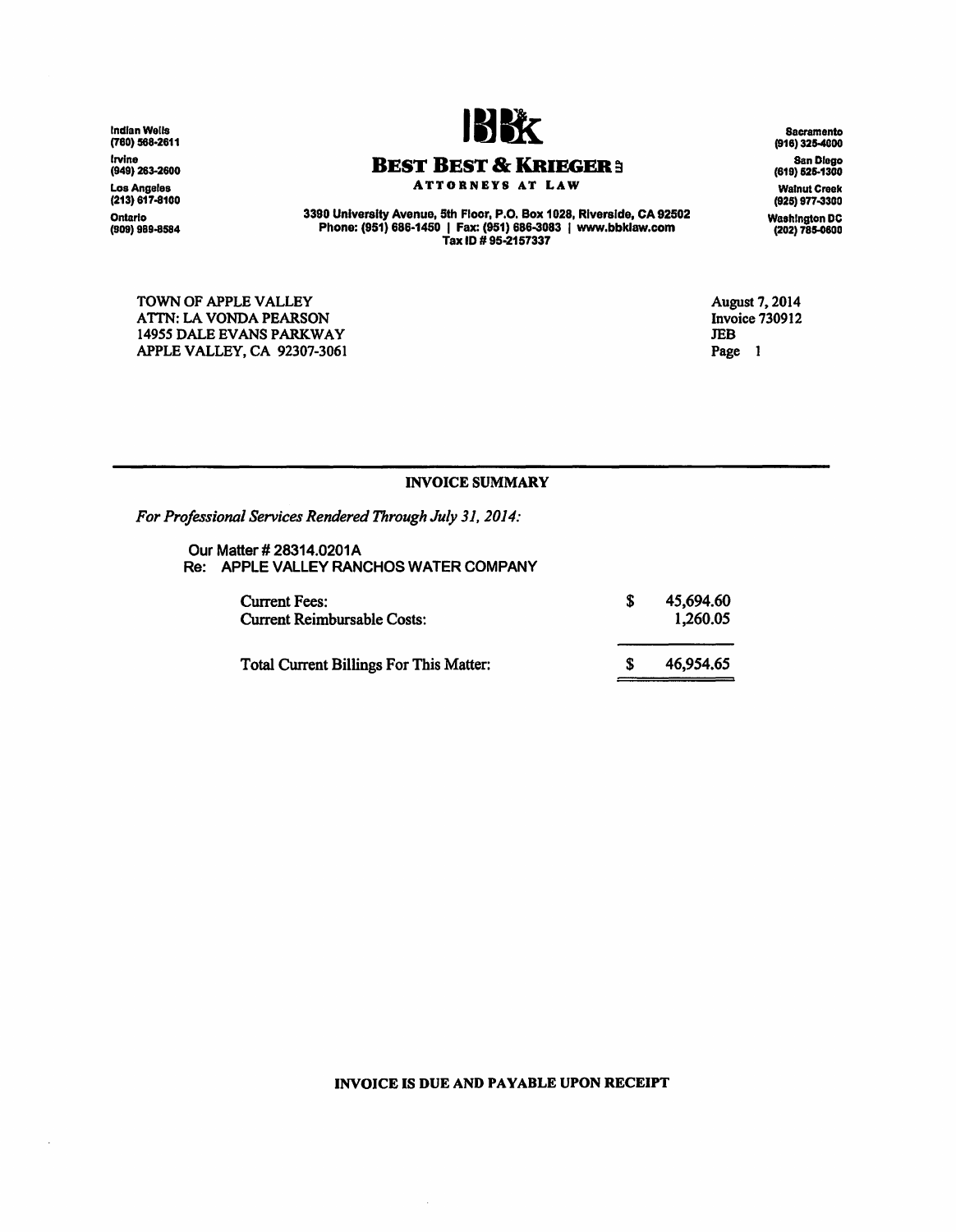Indian Wells (780) 568-2611 Irvine (949) 263-2600 Los Angeles (213) 617-8100 Ontario (909) 989-8584

 $\ddot{\phantom{a}}$ 



### **BEST BEST & KRIEGER 3**

ATTORNEYS AT LAW

3390 University Avenue, 5th Floor, P .0. Box 1028, Riverside, CA 92502 Phone: (951) 686-1450 I Fax: (951) 686-3083 I www.bbklaw.com Tax ID# 95·2157337

TOWN OF APPLE VALLEY ATTN: LA VONDA PEARSON 14955 DALE EVANS PARKWAY APPLE VALLEY, CA 92307-3061 August 7, 2014 Invoice 730912 JEB Page 1

#### INVOICE SUMMARY

*For Professional Services Rendered Through July 31, 2014:* 

Our Matter# 28314.0201A Re: APPLE VALLEY RANCHOS WATER COMPANY

| Current Fees:<br><b>Current Reimbursable Costs:</b> | 45,694.60<br>1.260.05 |
|-----------------------------------------------------|-----------------------|
| <b>Total Current Billings For This Matter:</b>      | 46,954,65             |

#### INVOICE IS DUE AND PAYABLE UPON RECEIPT

 $\hat{\mathcal{A}}$ 

Sacramento (918) 325-4000 San Diego (619) 52&.1300 Walnut Creek (925) 977-3300 Washington DC (202) 785-0800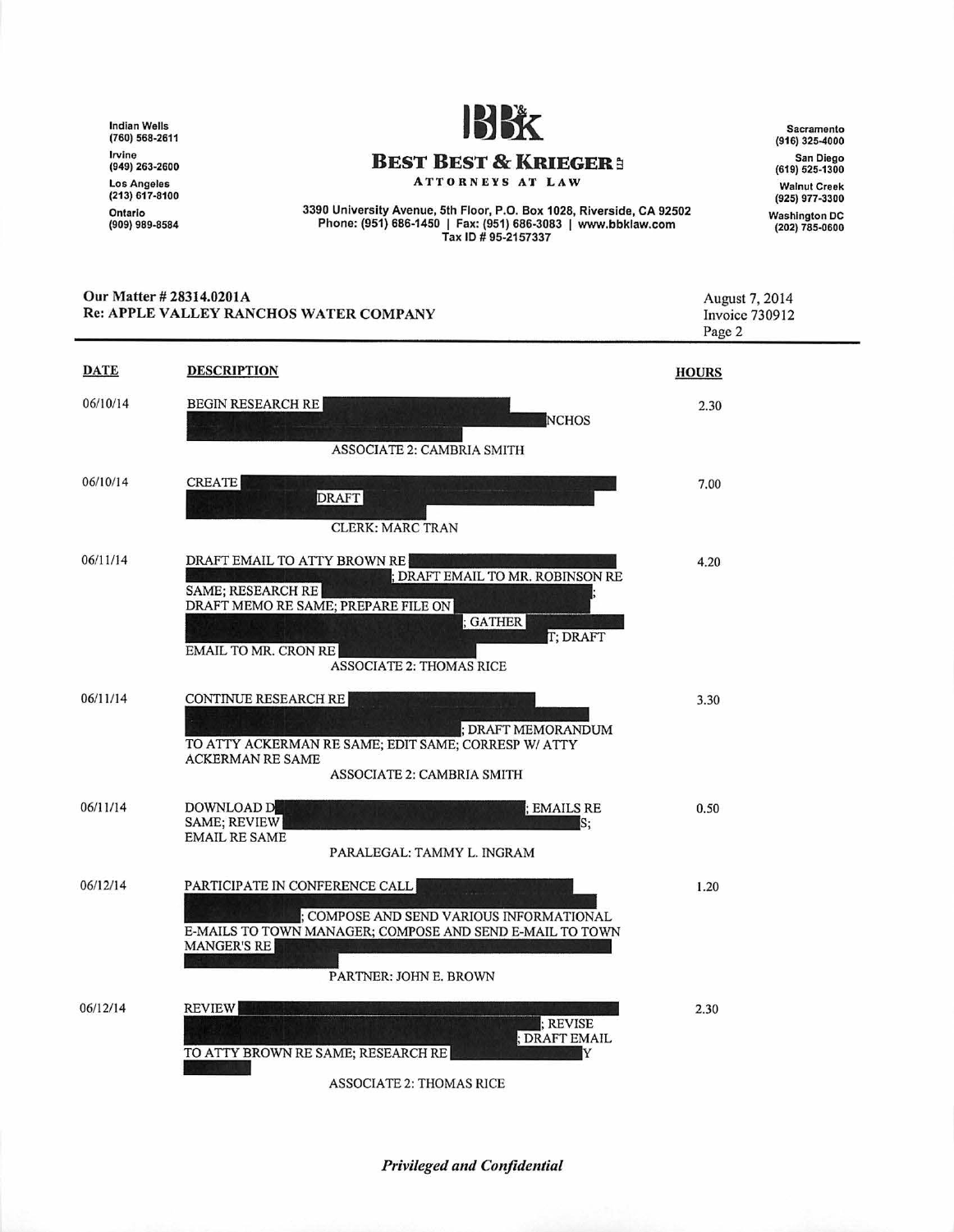Indian Wells (760) 568-2611 Irvine (949) 263-2600 Los Angeles (213) 617-8100 Ontario<br>(909) 989-8584



#### **BEST BEST & KRIEGER:**

ATTORNEYS AT LAW

3390 University Avenue, 5th Floor, P.O. Box 1028, Riverside, CA 92502 Phone: (951) 686-1450 I Fax: (951) 686-3083 I www .bbklaw.com Tax ID# 95-2157337

Sacramento (916) 325-4000 San Diego (619) 525-1300 Walnut Creek (925) 977-3300 Washington DC (202) 785-0600

|             | Our Matter # 28314.0201A<br><b>Re: APPLE VALLEY RANCHOS WATER COMPANY</b>                                                                                                                                                     | August 7, 2014<br>Invoice 730912<br>Page 2 |
|-------------|-------------------------------------------------------------------------------------------------------------------------------------------------------------------------------------------------------------------------------|--------------------------------------------|
| <b>DATE</b> | <b>DESCRIPTION</b>                                                                                                                                                                                                            | <b>HOURS</b>                               |
| 06/10/14    | <b>BEGIN RESEARCH RE</b><br><b>NCHOS</b><br>ASSOCIATE 2: CAMBRIA SMITH                                                                                                                                                        | 2.30                                       |
| 06/10/14    | <b>CREATE</b><br><b>DRAFT</b><br><b>CLERK: MARC TRAN</b>                                                                                                                                                                      | 7.00                                       |
| 06/11/14    | DRAFT EMAIL TO ATTY BROWN RE<br>; DRAFT EMAIL TO MR. ROBINSON RE<br><b>SAME; RESEARCH RE</b><br>DRAFT MEMO RE SAME; PREPARE FILE ON<br>; GATHER<br>T; DRAFT<br><b>EMAIL TO MR. CRON RE</b><br><b>ASSOCIATE 2: THOMAS RICE</b> | 4.20                                       |
| 06/11/14    | <b>CONTINUE RESEARCH RE</b><br>; DRAFT MEMORANDUM<br>TO ATTY ACKERMAN RE SAME; EDIT SAME; CORRESP W/ ATTY<br><b>ACKERMAN RE SAME</b><br><b>ASSOCIATE 2: CAMBRIA SMITH</b>                                                     | 3.30                                       |
| 06/11/14    | DOWNLOAD D<br>; EMAILS RE<br>SAME; REVIEW<br>S:<br><b>EMAIL RE SAME</b><br>PARALEGAL: TAMMY L. INGRAM                                                                                                                         | 0.50                                       |
| 06/12/14    | PARTICIPATE IN CONFERENCE CALL<br>; COMPOSE AND SEND VARIOUS INFORMATIONAL<br>E-MAILS TO TOWN MANAGER; COMPOSE AND SEND E-MAIL TO TOWN<br>MANGER'S RE<br>PARTNER: JOHN E. BROWN                                               | 1.20                                       |
| 06/12/14    | <b>REVIEW</b><br>; REVISE<br>; DRAFT EMAIL<br>TO ATTY BROWN RE SAME; RESEARCH RE<br>Y<br><b>ASSOCIATE 2: THOMAS RICE</b>                                                                                                      | 2.30                                       |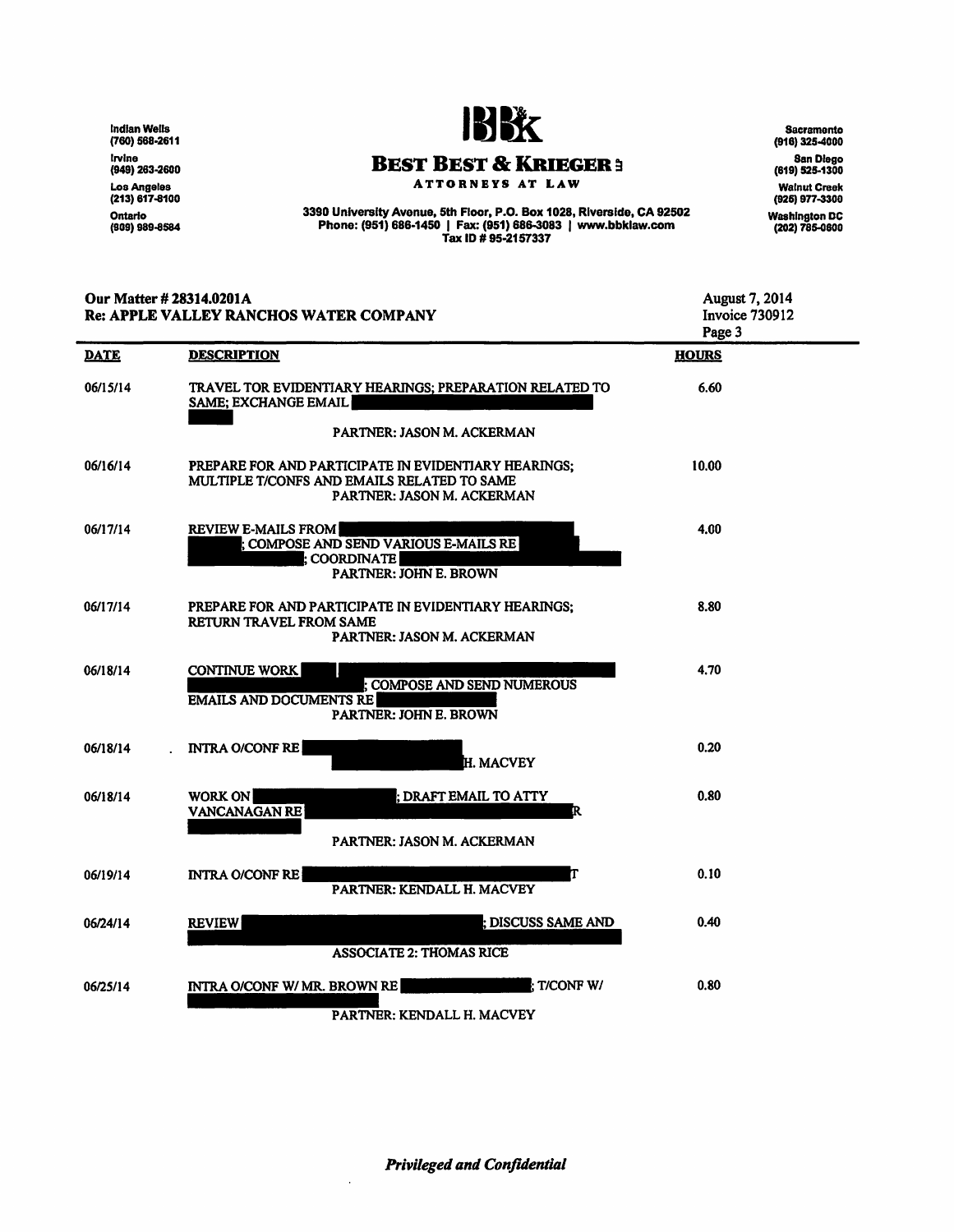lndlanWells (760) 568-2611 lrvine<br>(949) 263-2600 Los Angeles (213) 617-8100 Ontario<br>(909) 989-8584



# **BEST BEST & KRIEGER :**

ATTORNEYS AT LAW

3390 University Avenue. 5th Floor. P.O. Box 1028, Riverside, CA 92502 Phone: (951) 686-1450 I Fax: (951) 686-3083 I www.bbklaw.com Tax ID# 95·2157337

Sacramento (916) 325-4000 San Diego (619) 525-1300 Walnut Creek (926) 977-3300 Washington DC (202) 785-0600

| Our Matter # 28314.0201A<br>Re: APPLE VALLEY RANCHOS WATER COMPANY |                                                                                                                                   | August 7, 2014<br><b>Invoice 730912</b><br>Page 3 |
|--------------------------------------------------------------------|-----------------------------------------------------------------------------------------------------------------------------------|---------------------------------------------------|
| <b>DATE</b>                                                        | <b>DESCRIPTION</b>                                                                                                                | <b>HOURS</b>                                      |
| 06/15/14                                                           | TRAVEL TOR EVIDENTIARY HEARINGS; PREPARATION RELATED TO<br><b>SAME; EXCHANGE EMAIL</b>                                            | 6.60                                              |
|                                                                    | <b>PARTNER: JASON M. ACKERMAN</b>                                                                                                 |                                                   |
| 06/16/14                                                           | PREPARE FOR AND PARTICIPATE IN EVIDENTIARY HEARINGS;<br>MULTIPLE T/CONFS AND EMAILS RELATED TO SAME<br>PARTNER: JASON M. ACKERMAN | 10.00                                             |
| 06/17/14                                                           | <b>REVIEW E-MAILS FROM</b><br>; COMPOSE AND SEND VARIOUS E-MAILS RE<br><b>COORDINATE</b><br><b>PARTNER: JOHN E. BROWN</b>         | 4.00                                              |
| 06/17/14                                                           | PREPARE FOR AND PARTICIPATE IN EVIDENTIARY HEARINGS;<br>RETURN TRAVEL FROM SAME<br>PARTNER: JASON M. ACKERMAN                     | 8.80                                              |
| 06/18/14                                                           | <b>CONTINUE WORK</b><br><b>COMPOSE AND SEND NUMEROUS</b><br><b>EMAILS AND DOCUMENTS RE</b><br><b>PARTNER: JOHN E. BROWN</b>       | 4.70                                              |
| 06/18/14                                                           | <b>INTRA O/CONF RE</b><br><b>H. MACVEY</b>                                                                                        | 0.20                                              |
| 06/18/14                                                           | <b>WORK ON</b><br>; DRAFT EMAIL TO ATTY<br><b>VANCANAGAN RE</b><br>R                                                              | 0.80                                              |
|                                                                    | PARTNER: JASON M. ACKERMAN                                                                                                        |                                                   |
| 06/19/14                                                           | <b>INTRA O/CONF RE</b><br><b>PARTNER: KENDALL H. MACVEY</b>                                                                       | 0.10                                              |
| 06/24/14                                                           | ; DISCUSS SAME AND<br><b>REVIEW</b><br><b>ASSOCIATE 2: THOMAS RICE</b>                                                            | 0.40                                              |
| 06/25/14                                                           | <b>T/CONF W/</b><br>INTRA O/CONF W/ MR. BROWN RE                                                                                  | 0.80                                              |
|                                                                    |                                                                                                                                   |                                                   |

PARTNER: KENDALL H. MACVEY

 $\ddot{\phantom{0}}$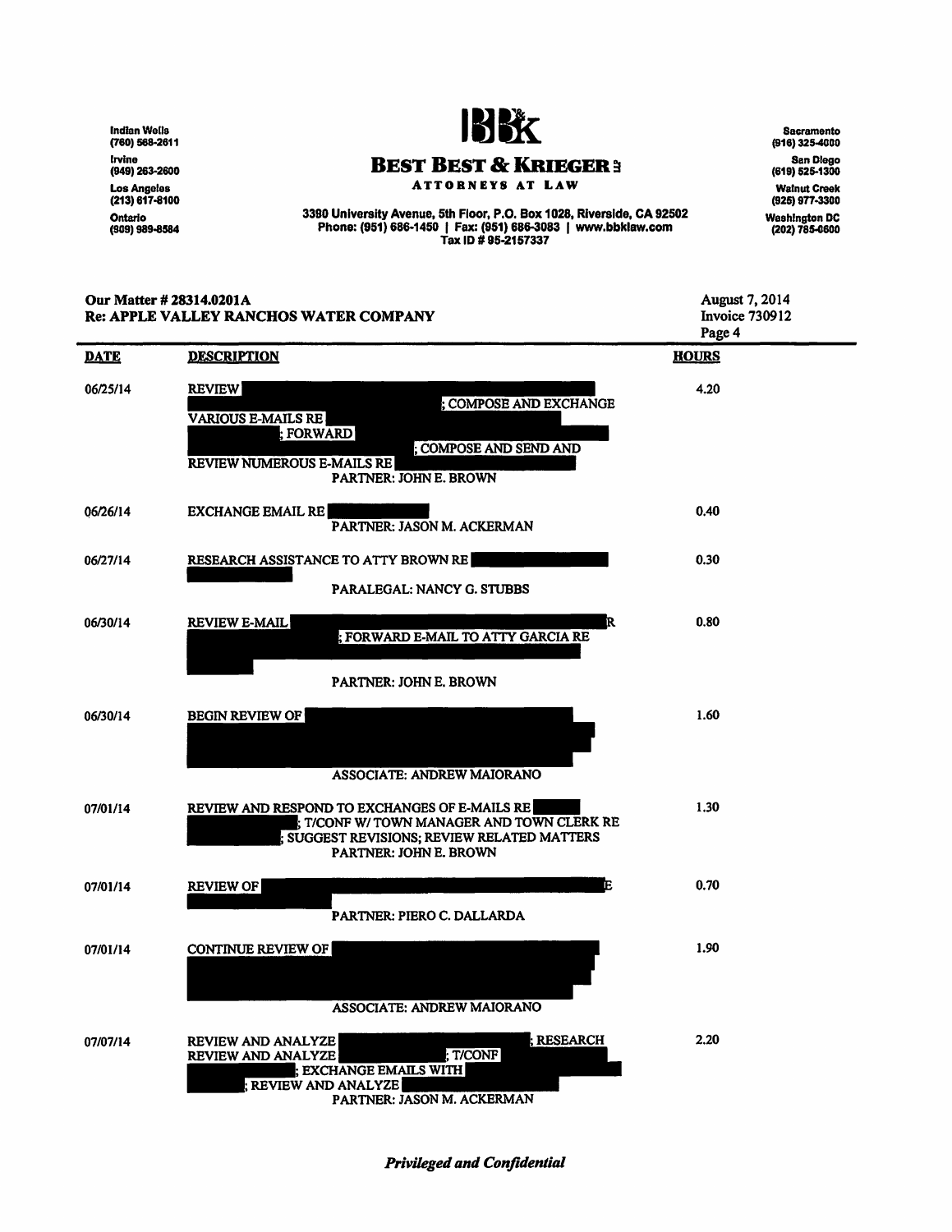lndlanWells (760) 568-2611 Irvine (949) 263-2600 Los Angeles<br>(213) 617-8100 Ontario<br>(909) 989-8584



**BEST BEST & KRIEGER3** 

ATTORNEYS AT LAW

3390 University Avenue, 5th Floor, P .0. Box 1028, Riverside, CA 92502 Phone: (951) 686·1450 I Fax: (951) 686-3083 I www.bbklaw.com Tax ID# 95·2157337

Sacramento (916) 325-4000 San Diego (619) 525-1300 Walnut Creek (925) 977-3300 Washington DC (202) 785-G&OO

| Our Matter # 28314.0201A<br><b>Re: APPLE VALLEY RANCHOS WATER COMPANY</b> |                                                                                                                                                                            | <b>August 7, 2014</b><br><b>Invoice 730912</b><br>Page 4 |  |
|---------------------------------------------------------------------------|----------------------------------------------------------------------------------------------------------------------------------------------------------------------------|----------------------------------------------------------|--|
| <b>DATE</b>                                                               | <b>DESCRIPTION</b>                                                                                                                                                         | <b>HOURS</b>                                             |  |
| 06/25/14                                                                  | <b>REVIEW</b><br>; COMPOSE AND EXCHANGE<br><b>VARIOUS E-MAILS RE</b><br>; FORWARD<br>; COMPOSE AND SEND AND<br><b>REVIEW NUMEROUS E-MAILS RE</b><br>PARTNER: JOHN E. BROWN | 4.20                                                     |  |
| 06/26/14                                                                  | <b>EXCHANGE EMAIL RE</b><br><b>PARTNER: JASON M. ACKERMAN</b>                                                                                                              | 0.40                                                     |  |
| 06/27/14                                                                  | RESEARCH ASSISTANCE TO ATTY BROWN RE<br>PARALEGAL: NANCY G. STUBBS                                                                                                         | 0.30                                                     |  |
| 06/30/14                                                                  | <b>REVIEW E-MAIL</b><br>R<br>; FORWARD E-MAIL TO ATTY GARCIA RE<br><b>PARTNER: JOHN E. BROWN</b>                                                                           | 0.80                                                     |  |
| 06/30/14                                                                  | <b>BEGIN REVIEW OF</b><br>ASSOCIATE: ANDREW MAIORANO                                                                                                                       | 1.60                                                     |  |
| 07/01/14                                                                  | REVIEW AND RESPOND TO EXCHANGES OF E-MAILS RE<br>; T/CONF W/ TOWN MANAGER AND TOWN CLERK RE<br>SUGGEST REVISIONS; REVIEW RELATED MATTERS<br><b>PARTNER: JOHN E. BROWN</b>  | 1.30                                                     |  |
| 07/01/14                                                                  | F<br><b>REVIEW OF</b><br>PARTNER: PIERO C. DALLARDA                                                                                                                        | 0.70                                                     |  |
| 07/01/14                                                                  | <b>CONTINUE REVIEW OF</b><br><b>ASSOCIATE: ANDREW MAIORANO</b>                                                                                                             | 1.90                                                     |  |
| 07/07/14                                                                  | : RESEARCH<br>REVIEW AND ANALYZE<br>T/CONF<br><b>REVIEW AND ANALYZE</b><br><b>EXCHANGE EMAILS WITH</b><br><b>REVIEW AND ANALYZE</b><br>PARTNER: JASON M. ACKERMAN          | 2.20                                                     |  |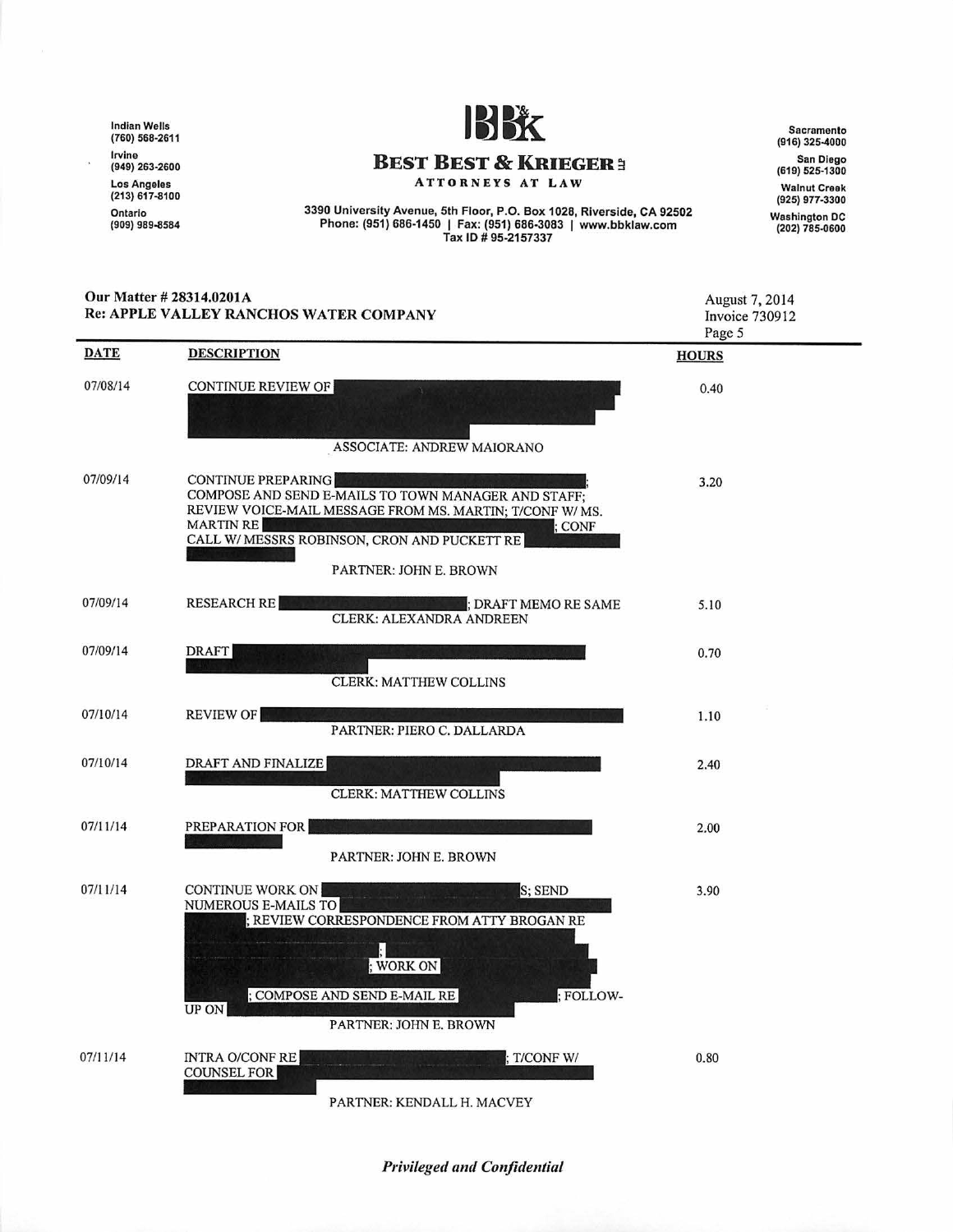Indian Wells (760) 568-2611 Irvine (949) 263-2600 Los Angeles (213) 617-8100 Ontario<br>(909) 989-8584



# **BEST BEST & KRIEGER:**

ATTORNEYS AT LAW

3390 University Avenue, 5th Floor, P.O. Box 1028, Riverside, CA 92502<br>Phone: (951) 686-1450 | Fax: (951) 686-3083 | www.bbklaw.com<br>Tax ID # 95-2157337

Our Matte r # 28314.0201A

Sacramento (916) 325-4000 San Diego (619) 525-1300 Walnut Creek (925) 977-3300 Washington DC (202) 785-0600

| Our Matter # 28314.0201A<br>Re: APPLE VALLEY RANCHOS WATER COMPANY |                                                                                                                                                                                                                                                    | <b>August 7, 2014</b><br>Invoice 730912<br>Page 5 |
|--------------------------------------------------------------------|----------------------------------------------------------------------------------------------------------------------------------------------------------------------------------------------------------------------------------------------------|---------------------------------------------------|
| <b>DATE</b>                                                        | <b>DESCRIPTION</b>                                                                                                                                                                                                                                 | <b>HOURS</b>                                      |
| 07/08/14                                                           | CONTINUE REVIEW OF                                                                                                                                                                                                                                 | 0.40                                              |
|                                                                    | ASSOCIATE: ANDREW MAIORANO                                                                                                                                                                                                                         |                                                   |
| 07/09/14                                                           | <b>CONTINUE PREPARING</b><br>COMPOSE AND SEND E-MAILS TO TOWN MANAGER AND STAFF;<br>REVIEW VOICE-MAIL MESSAGE FROM MS. MARTIN; T/CONF W/MS.<br><b>MARTIN RE</b><br>; CONF<br>CALL W/MESSRS ROBINSON, CRON AND PUCKETT RE<br>PARTNER: JOHN E. BROWN | 3.20                                              |
| 07/09/14                                                           | <b>RESEARCH RE</b><br>DRAFT MEMO RE SAME<br><b>CLERK: ALEXANDRA ANDREEN</b>                                                                                                                                                                        | 5.10                                              |
| 07/09/14                                                           | <b>DRAFT</b><br><b>CLERK: MATTHEW COLLINS</b>                                                                                                                                                                                                      | 0.70                                              |
| 07/10/14                                                           | <b>REVIEW OF</b><br>PARTNER: PIERO C. DALLARDA                                                                                                                                                                                                     | 1.10                                              |
| 07/10/14                                                           | DRAFT AND FINALIZE<br><b>CLERK: MATTHEW COLLINS</b>                                                                                                                                                                                                | 2.40                                              |
| 07/11/14                                                           | PREPARATION FOR<br>PARTNER: JOHN E. BROWN                                                                                                                                                                                                          | 2.00                                              |
| 07/11/14                                                           | <b>CONTINUE WORK ON</b><br>S; SEND<br>NUMEROUS E-MAILS TO<br>; REVIEW CORRESPONDENCE FROM ATTY BROGAN RE<br>; WORK ON<br>; COMPOSE AND SEND E-MAIL RE<br>: FOLLOW-<br>UP ON<br>PARTNER: JOHN E. BROWN                                              | 3.90                                              |
| 07/11/14                                                           | <b>INTRA O/CONF RE</b><br>: T/CONF W/<br><b>COUNSEL FOR</b><br>PARTNER: KENDALL H. MACVEY                                                                                                                                                          | 0.80                                              |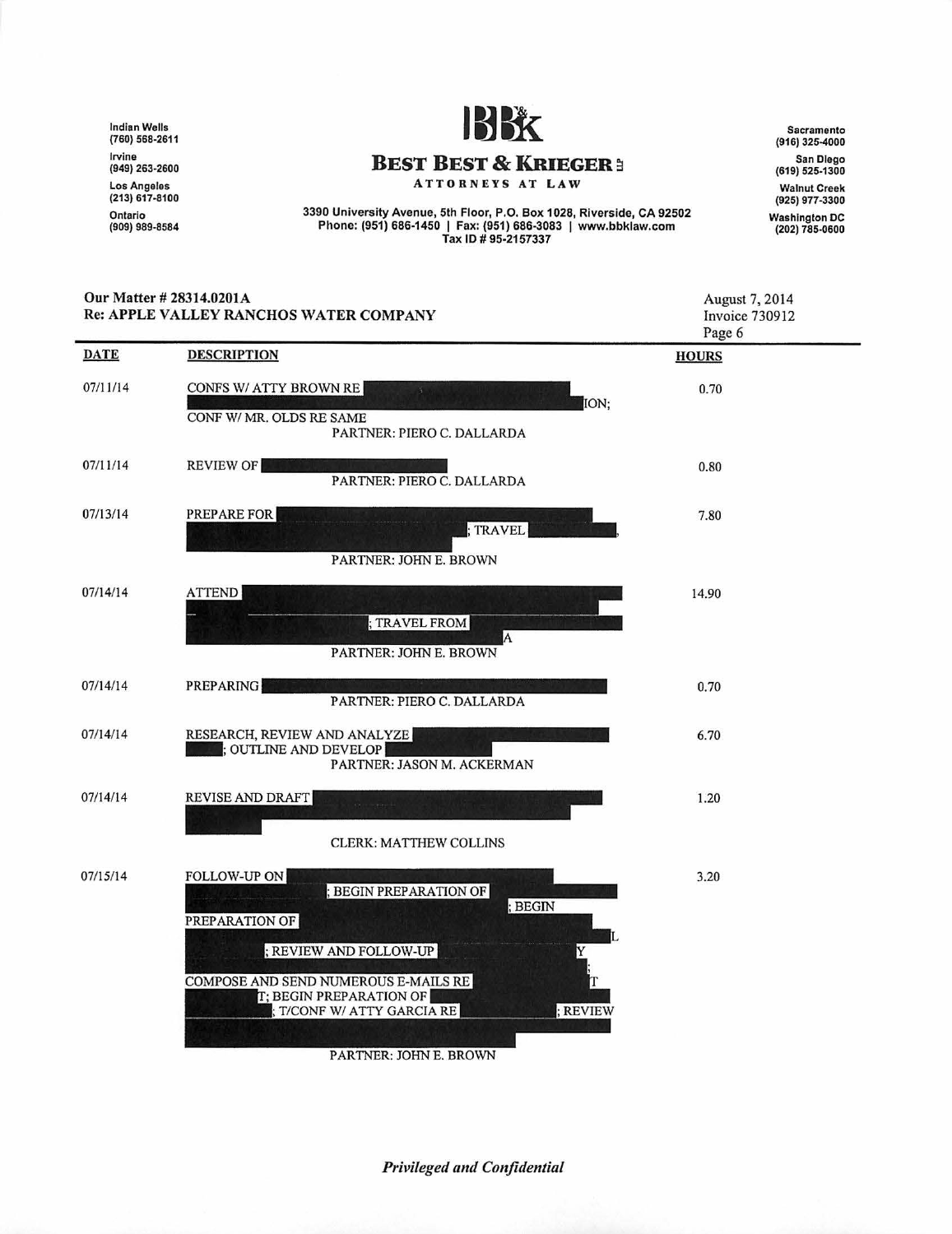Indian Wells (760) 568-2611 Irvine (949) 263-2600 Los Angeles (213) 617-8100 Ontario<br>(909) 989-8584



### **BEST BEST & KRIEGER 3**

ATTORNEYS AT LAW

3390 University Avenue, 5th Floor, P.O. Box 1028, Riverside, CA 92502 Phone: (951) 686-1450 I Fax: (951) 686-3083 I www.bbklaw.com Tax ID# 95-2157337

Sacramento (916) 325-4000 San Diego (619) 525-1300 Walnut Creek (925) 977 ·3300 Washington DC (202) 785-0600

| Our Matter # 28314.0201A<br>Re: APPLE VALLEY RANCHOS WATER COMPANY |                                                                                                                                                                                                                                                  | August 7, 2014<br><b>Invoice 730912</b><br>Page 6 |
|--------------------------------------------------------------------|--------------------------------------------------------------------------------------------------------------------------------------------------------------------------------------------------------------------------------------------------|---------------------------------------------------|
| <b>DATE</b>                                                        | <b>DESCRIPTION</b>                                                                                                                                                                                                                               | <b>HOURS</b>                                      |
| 07/11/14                                                           | CONFS W/ ATTY BROWN RE<br>ION;<br>CONF W/ MR. OLDS RE SAME                                                                                                                                                                                       | 0.70                                              |
| 07/11/14                                                           | PARTNER: PIERO C. DALLARDA<br><b>REVIEW OF</b><br>PARTNER: PIERO C. DALLARDA                                                                                                                                                                     | 0.80                                              |
| 07/13/14                                                           | PREPARE FOR<br>; TRAVEL<br>PARTNER: JOHN E. BROWN                                                                                                                                                                                                | 7.80                                              |
| 07/14/14                                                           | <b>ATTEND</b><br>; TRAVEL FROM<br>A<br>PARTNER: JOHN E. BROWN                                                                                                                                                                                    | 14.90                                             |
| 07/14/14                                                           | <b>PREPARING</b><br>PARTNER: PIERO C. DALLARDA                                                                                                                                                                                                   | 0.70                                              |
| 07/14/14                                                           | RESEARCH, REVIEW AND ANALYZE<br>$\Box$ ; OUTLINE AND DEVELOP<br>PARTNER: JASON M. ACKERMAN                                                                                                                                                       | 6.70                                              |
| 07/14/14                                                           | <b>REVISE AND DRAFT</b>                                                                                                                                                                                                                          | 1.20                                              |
| 07/15/14                                                           | <b>CLERK: MATTHEW COLLINS</b><br><b>FOLLOW-UP ON</b><br>; BEGIN PREPARATION OF<br>; BEGIN<br>PREPARATION OF<br>; REVIEW AND FOLLOW-UP<br>COMPOSE AND SEND NUMEROUS E-MAILS RE<br>T; BEGIN PREPARATION OF<br>T/CONF W/ ATTY GARCIA RE<br>; REVIEW | 3.20                                              |

PARTNER: JOHN E. BROWN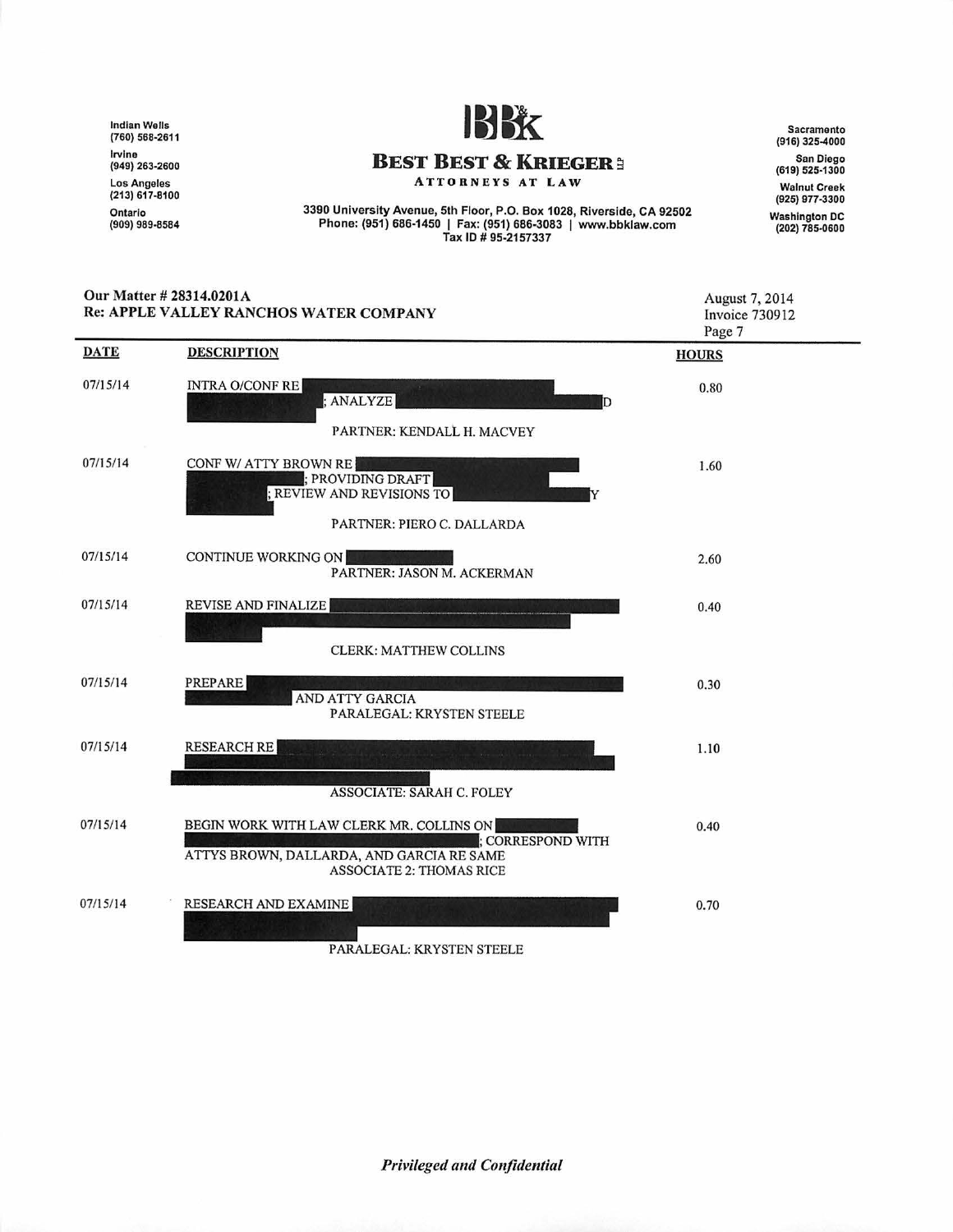lndlan Wells (760) 568·2611 lrvlne (949) 263-2600 Los Angeles (213) 617-8100 Ontario<br>(909) 989-8584



## **BEST BEST & KRIEGER:**

ATTORNEYS AT LAW

3390 University Avenue, 5th Floor, P.O. Box 1028, Riverside, CA 92502 Phone: (951) 686-1450 I Fax: (951) 686-3083 I www.bbklaw.com Tax ID# 95·2157337

Sacramento (916) 325-4000 San Diego (619) 525-1300 Walnut Creek (925) 977-3300 Washington DC (202) 785-0600

| Our Matter # 28314.0201A<br>Re: APPLE VALLEY RANCHOS WATER COMPANY |                                                                                                                                               | August 7, 2014<br><b>Invoice 730912</b><br>Page 7 |
|--------------------------------------------------------------------|-----------------------------------------------------------------------------------------------------------------------------------------------|---------------------------------------------------|
| <b>DATE</b>                                                        | <b>DESCRIPTION</b>                                                                                                                            | <b>HOURS</b>                                      |
| 07/15/14                                                           | <b>INTRA O/CONF RE</b><br>; ANALYZE<br>PARTNER: KENDALL H. MACVEY                                                                             | 0.80                                              |
| 07/15/14                                                           | CONF W/ ATTY BROWN RE<br>; PROVIDING DRAFT<br>; REVIEW AND REVISIONS TO<br>Y<br>PARTNER: PIERO C. DALLARDA                                    | 1.60                                              |
| 07/15/14                                                           | <b>CONTINUE WORKING ON</b><br>PARTNER: JASON M. ACKERMAN                                                                                      | 2.60                                              |
| 07/15/14                                                           | REVISE AND FINALIZE<br><b>CLERK: MATTHEW COLLINS</b>                                                                                          | 0.40                                              |
| 07/15/14                                                           | <b>PREPARE</b><br>AND ATTY GARCIA<br>PARALEGAL: KRYSTEN STEELE                                                                                | 0.30                                              |
| 07/15/14                                                           | <b>RESEARCH RE</b><br><b>ASSOCIATE: SARAH C. FOLEY</b>                                                                                        | 1.10                                              |
| 07/15/14                                                           | BEGIN WORK WITH LAW CLERK MR. COLLINS ON<br>: CORRESPOND WITH<br>ATTYS BROWN, DALLARDA, AND GARCIA RE SAME<br><b>ASSOCIATE 2: THOMAS RICE</b> | 0.40                                              |
| 07/15/14                                                           | RESEARCH AND EXAMINE                                                                                                                          | 0.70                                              |

PARALEGAL: KRYSTEN STEELE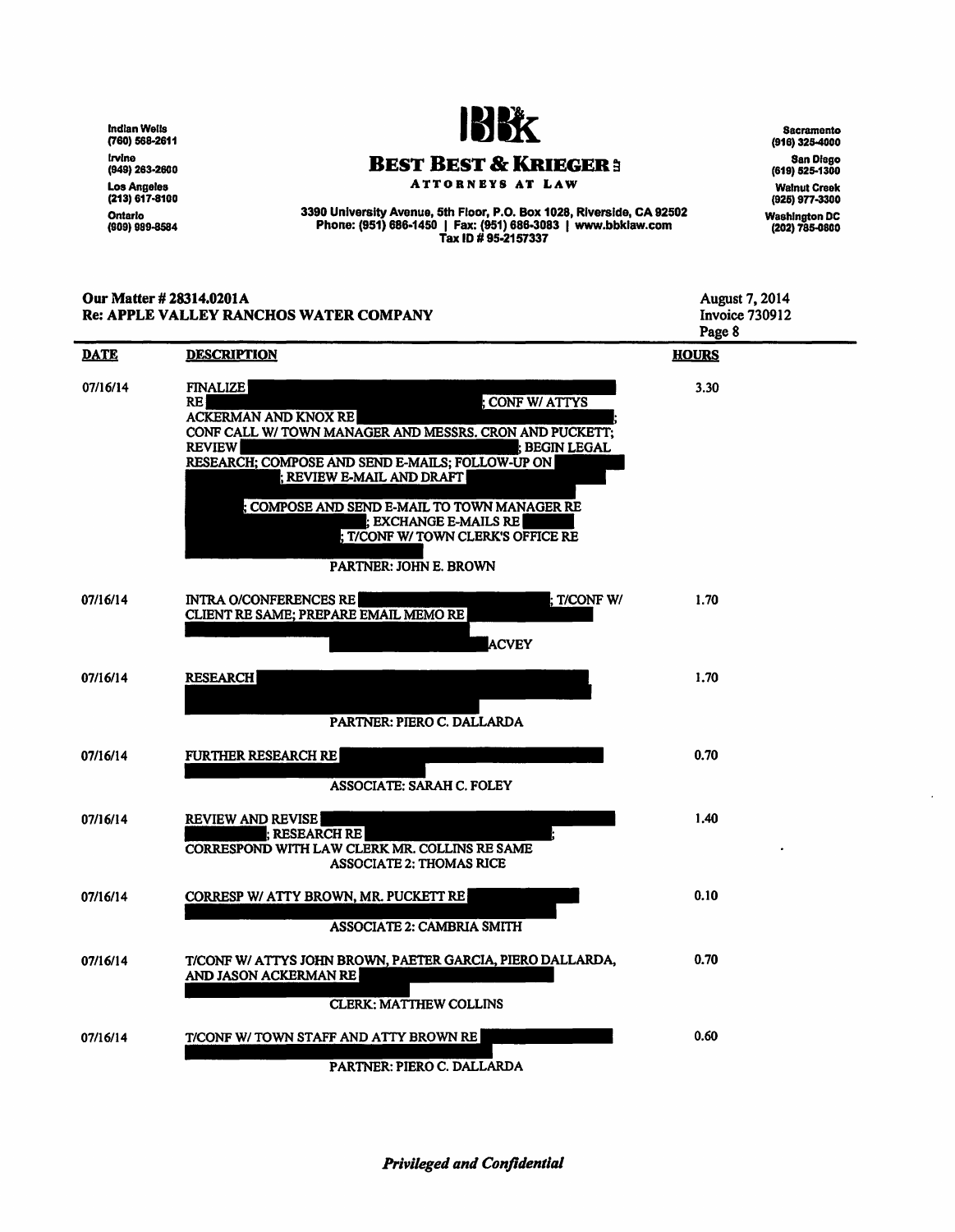lndlan Wells (760) 568·2611 lrvlne (949) 263·2600 Los Angeles (213) 617·8100 Ontario (909) 989-8584



**BEST BEST & KRIEGER e** 

ATTORNEYS AT LAW

3390 University Avenue, 5th Floor, P.O. Box 1028, Riverside, CA 92502 Phone: (951) 686-1450 | Fax: (951) 686-3083 | www.bbklaw.com Tax ID # 95·2157337

(916) 325-4000 SanDfago (619) 525-1300 Walnut Creek (925) 977-3300 Washington DC (202) 785-0800

**Sacramento** 

Our Matter# 28314.0201A August 7, 2014 Invoice 730912 Re: APPLE VALLEY RANCHOS WATER COMPANY Page 8 DATE DESCRIPTION **HOURS** 07/16/14 FINALIZE 3.30 **CONF W/ ATTYS** RE ACKERMAN AND KNOX RE CONF CALL W/ TOWN MANAGER AND MESSRS. CRON AND PUCKETI; REGIN LEGAL RESEARCH; COMPOSE AND SEND E-MAILS; FOLLOW-UP ON i REVIEW E-MAIL AND DRAFT ; COMPOSE AND SEND E-MAIL TO TOWN MANAGER RE : EXCHANGE E-MAILS RE T/CONF W/ TOWN CLERK'S OFFICE RE PARTNER: JOHN E. BROWN 07/16/14 **INTRA O/CONFERENCES RE** : T/CONF W/ 1.70 CLIENT RE SAME; PREPARE EMAIL MEMORE **ACVEY** 07116/14 **RESEARCH** 1.70 PARTNER: PIERO C. DALLARDA 07/16/14 FURTHER RESEARCH RE 0.70 AS SOCIA TE: SARAH C. FOLEY REVIEW AND REVISE 1.40 07/16/14 **: RESEARCH RE** CORRESPOND WITH LAW CLERK MR. COLLINS RE SAME ASSOCIATE 2: THOMAS RICE CORRESP W/ ATIY BROWN, MR. PUCKETT RE 0.10 07/16/14 ASSOCIATE 2: CAMBRIA SMITII 07/16/14 T/CONF W/ ATTYS JOHN BROWN, PAETER GARCIA, PIERO DALLARDA, 0.70 AND JASON ACKERMAN RE CLERK: MATTHEW COLLINS 0.60 07/16/14 T/CONF W/ TOWN STAFF AND ATTY BROWN RE

PARTNER: PIERO C. DALLARDA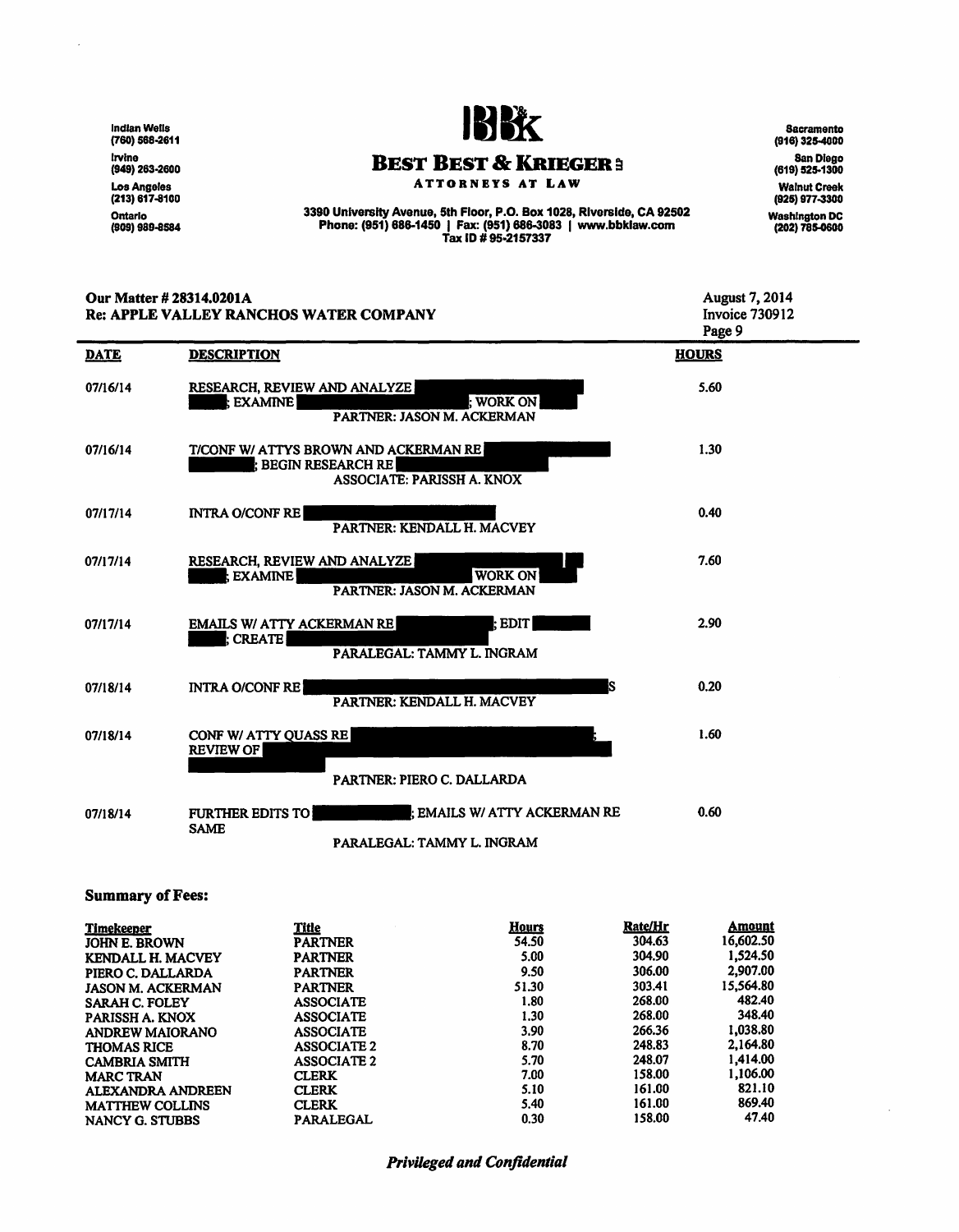**Indian Wells<br>(760) 568-2611** lrvine<br>(949) 263-2600 LosAngefes (213) 617-8100 Ontario<br>(909) 989-8584

l,



# **BEST BEST & KRIEGER :**

ATTORNEYS AT LAW

3390 University Avenue, 5th Floor, P.O. Box 1028, Riverside, CA 92502 Phone: (951) 688-1450 I Fax: (951) 688-3083 I www.bbklaw.com Tax ID# 95·2157337

Sacramento (916) 325-4000 San Diego (619) 525-1300 Walnut Creek (925) 977-3300 Washington DC (202) 785-0600

| Our Matter # 28314.0201A<br><b>Re: APPLE VALLEY RANCHOS WATER COMPANY</b> |                                                                                                      | <b>August 7, 2014</b><br>Invoice 730912<br>Page 9 |
|---------------------------------------------------------------------------|------------------------------------------------------------------------------------------------------|---------------------------------------------------|
| <b>DATE</b>                                                               | <b>DESCRIPTION</b>                                                                                   | <b>HOURS</b>                                      |
| 07/16/14                                                                  | RESEARCH, REVIEW AND ANALYZE<br>: WORK ON<br>: EXAMINE<br>PARTNER: JASON M. ACKERMAN                 | 5.60                                              |
| 07/16/14                                                                  | T/CONF W/ ATTYS BROWN AND ACKERMAN RE<br>: BEGIN RESEARCH RE<br>ASSOCIATE: PARISSH A. KNOX           | 1.30                                              |
| 07/17/14                                                                  | <b>INTRA O/CONF RE</b><br>PARTNER: KENDALL H. MACVEY                                                 | 0.40                                              |
| 07/17/14                                                                  | RESEARCH, REVIEW AND ANALYZE<br><b>WORK ON</b><br>: EXAMINE  <br>PARTNER: JASON M. ACKERMAN          | 7.60                                              |
| 07/17/14                                                                  | <b>EMAILS W/ ATTY ACKERMAN RE</b><br><b>EDIT</b><br><b>CREATE</b><br>PARALEGAL: TAMMY L. INGRAM      | 2.90                                              |
| 07/18/14                                                                  | s<br><b>INTRA O/CONF REI</b><br>PARTNER: KENDALL H. MACVEY                                           | 0.20                                              |
| 07/18/14                                                                  | CONF W/ ATTY QUASS RE<br><b>REVIEW OF</b>                                                            | 1.60                                              |
|                                                                           | PARTNER: PIERO C. DALLARDA                                                                           |                                                   |
| 07/18/14                                                                  | : EMAILS W/ ATTY ACKERMAN RE<br><b>FURTHER EDITS TO</b><br><b>SAME</b><br>PARALEGAL: TAMMY L. INGRAM | 0.60                                              |

Summary of Fees:

| Timekeeper               | Title              | Hours | Rate/Hr | Amount    |
|--------------------------|--------------------|-------|---------|-----------|
| <b>JOHN E. BROWN</b>     | <b>PARTNER</b>     | 54.50 | 304.63  | 16,602.50 |
| <b>KENDALL H. MACVEY</b> | <b>PARTNER</b>     | 5.00  | 304.90  | 1,524.50  |
| PIERO C. DALLARDA        | <b>PARTNER</b>     | 9.50  | 306.00  | 2,907.00  |
| <b>JASON M. ACKERMAN</b> | <b>PARTNER</b>     | 51.30 | 303.41  | 15.564.80 |
| <b>SARAH C. FOLEY</b>    | <b>ASSOCIATE</b>   | 1.80  | 268.00  | 482.40    |
| PARISSH A. KNOX          | <b>ASSOCIATE</b>   | 1.30  | 268.00  | 348.40    |
| <b>ANDREW MAIORANO</b>   | <b>ASSOCIATE</b>   | 3.90  | 266.36  | 1,038.80  |
| <b>THOMAS RICE</b>       | <b>ASSOCIATE 2</b> | 8.70  | 248.83  | 2.164.80  |
| <b>CAMBRIA SMITH</b>     | <b>ASSOCIATE 2</b> | 5.70  | 248.07  | 1.414.00  |
| <b>MARC TRAN</b>         | <b>CLERK</b>       | 7.00  | 158.00  | 1,106.00  |
| ALEXANDRA ANDREEN        | <b>CLERK</b>       | 5.10  | 161.00  | 821.10    |
| <b>MATTHEW COLLINS</b>   | <b>CLERK</b>       | 5.40  | 161.00  | 869.40    |
| NANCY G. STUBBS          | <b>PARALEGAL</b>   | 0.30  | 158.00  | 47.40     |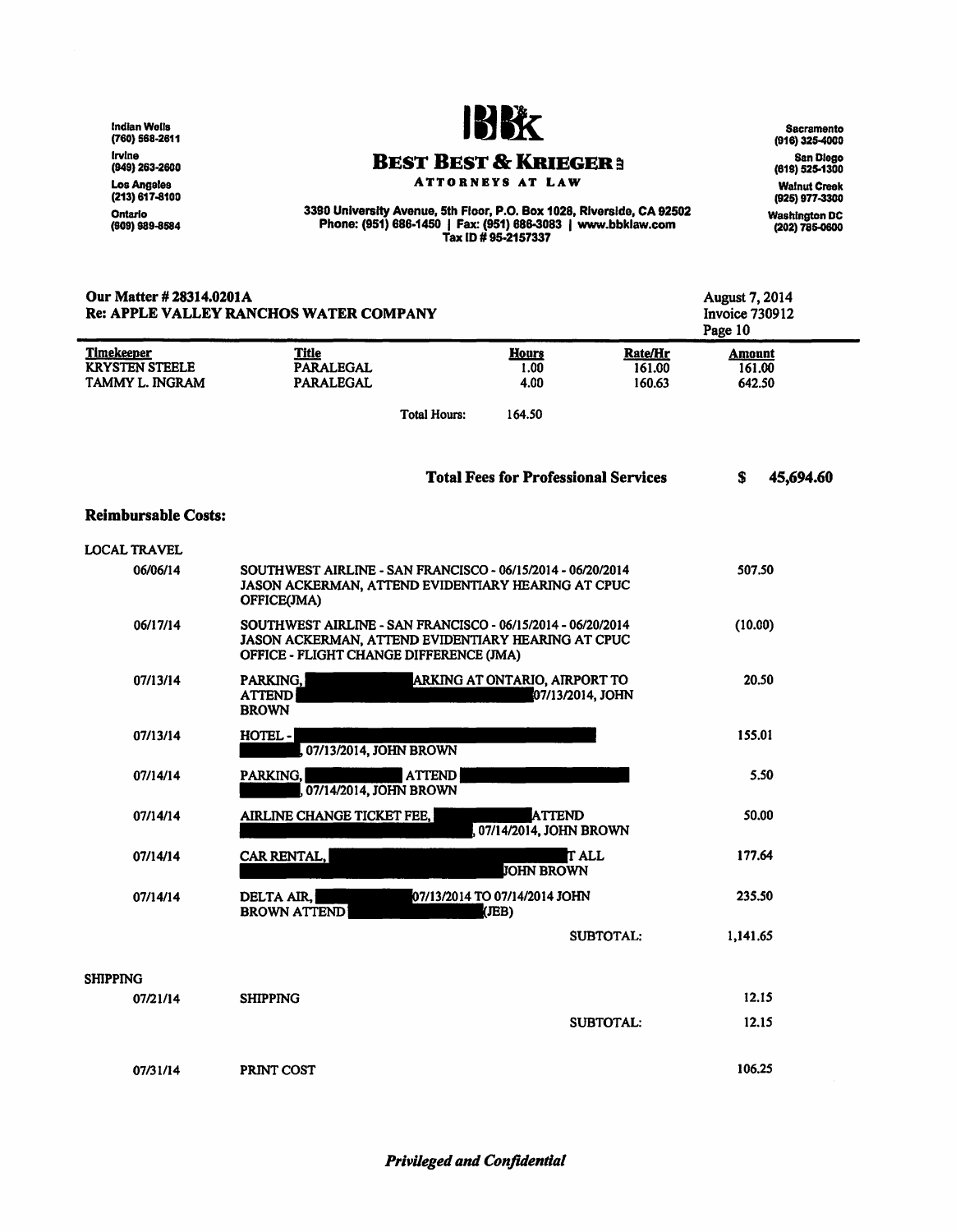lndlanWells (760) 568-2611 Irvine (949) 263-2600 Los Angeles (213) 617-8100 Ontario<br>(909) 989-8584



#### **BEST BEST & KRIEGER3**

ATTORNEYS AT LAW

3390 University Avenue, 5th Floor, P.O. Box 1028, Riverside, CA 92502 Phone: (951) 686-1450 I Fax: (951) 686-3083 I www.bbklaw.com Tax ID# 95·2157337

Sacramento (916) 325-4000 San Diego (819) 525-1300 Walnut Creek (925) 977-3300 Washington DC (202) 785-0600

| Our Matter # 28314.0201A<br><b>Re: APPLE VALLEY RANCHOS WATER COMPANY</b> |                                                                                                                                                              |                                             | August 7, 2014<br><b>Invoice 730912</b><br>Page 10 |                                   |  |
|---------------------------------------------------------------------------|--------------------------------------------------------------------------------------------------------------------------------------------------------------|---------------------------------------------|----------------------------------------------------|-----------------------------------|--|
| Timekeeper<br><b>KRYSTEN STEELE</b><br>TAMMY L. INGRAM                    | Title<br><b>PARALEGAL</b><br><b>PARALEGAL</b>                                                                                                                | <b>Hours</b><br>1.00<br>4.00                | Rate/Hr<br>161.00<br>160.63                        | <b>Amount</b><br>161.00<br>642.50 |  |
|                                                                           |                                                                                                                                                              | <b>Total Hours:</b><br>164.50               |                                                    |                                   |  |
|                                                                           |                                                                                                                                                              | <b>Total Fees for Professional Services</b> |                                                    | s<br>45,694.60                    |  |
| <b>Reimbursable Costs:</b>                                                |                                                                                                                                                              |                                             |                                                    |                                   |  |
| <b>LOCAL TRAVEL</b>                                                       |                                                                                                                                                              |                                             |                                                    |                                   |  |
| 06/06/14                                                                  | SOUTHWEST AIRLINE - SAN FRANCISCO - 06/15/2014 - 06/20/2014<br>JASON ACKERMAN, ATTEND EVIDENTIARY HEARING AT CPUC<br>OFFICE(JMA)                             |                                             |                                                    | 507.50                            |  |
| 06/17/14                                                                  | SOUTHWEST AIRLINE - SAN FRANCISCO - 06/15/2014 - 06/20/2014<br>JASON ACKERMAN, ATTEND EVIDENTIARY HEARING AT CPUC<br>OFFICE - FLIGHT CHANGE DIFFERENCE (JMA) |                                             |                                                    | (10.00)                           |  |
| 07/13/14                                                                  | PARKING.<br><b>ATTEND</b><br><b>BROWN</b>                                                                                                                    | ARKING AT ONTARIO, AIRPORT TO               | 07/13/2014, JOHN                                   | 20.50                             |  |
| 07/13/14                                                                  | HOTEL-<br>, 07/13/2014, JOHN BROWN                                                                                                                           |                                             |                                                    | 155.01                            |  |
| 07/14/14                                                                  | PARKING,<br>, 07/14/2014, JOHN BROWN                                                                                                                         | <b>ATTEND</b>                               |                                                    | 5.50                              |  |
| 07/14/14                                                                  | AIRLINE CHANGE TICKET FEE,                                                                                                                                   | <b>ATTEND</b><br>07/14/2014, JOHN BROWN     |                                                    | 50.00                             |  |
| 07/14/14                                                                  | CAR RENTAL,                                                                                                                                                  | <b>JOHN BROWN</b>                           | <b>T</b> ALL                                       | 177.64                            |  |
| 07/14/14                                                                  | DELTA AIR,<br><b>BROWN ATTEND</b>                                                                                                                            | 07/13/2014 TO 07/14/2014 JOHN<br>(JEB)      |                                                    | 235.50                            |  |
|                                                                           |                                                                                                                                                              |                                             | <b>SUBTOTAL:</b>                                   | 1,141.65                          |  |
| <b>SHIPPING</b>                                                           |                                                                                                                                                              |                                             |                                                    |                                   |  |
| 07/21/14                                                                  | <b>SHIPPING</b>                                                                                                                                              |                                             |                                                    | 12.15                             |  |
|                                                                           |                                                                                                                                                              |                                             | <b>SUBTOTAL:</b>                                   | 12.15                             |  |
| 07/31/14                                                                  | PRINT COST                                                                                                                                                   |                                             |                                                    | 106.25                            |  |